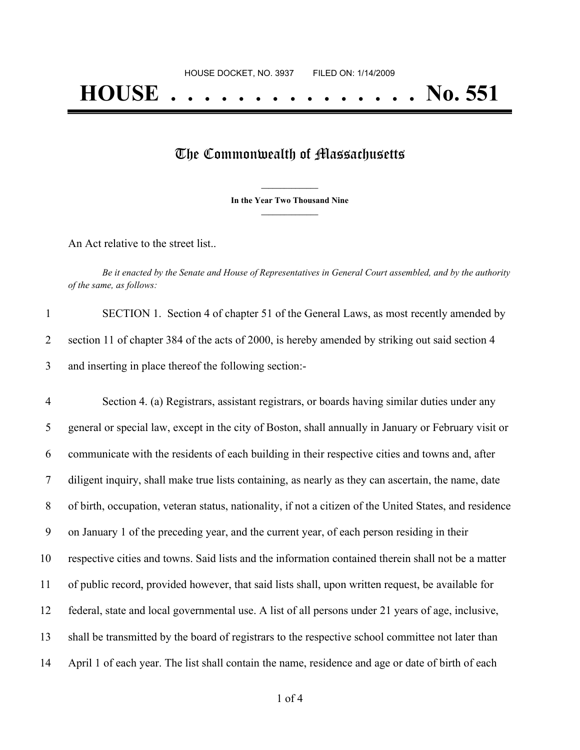## The Commonwealth of Massachusetts

**\_\_\_\_\_\_\_\_\_\_\_\_\_\_\_ In the Year Two Thousand Nine \_\_\_\_\_\_\_\_\_\_\_\_\_\_\_**

An Act relative to the street list..

Be it enacted by the Senate and House of Representatives in General Court assembled, and by the authority *of the same, as follows:*

| SECTION 1. Section 4 of chapter 51 of the General Laws, as most recently amended by             |
|-------------------------------------------------------------------------------------------------|
| section 11 of chapter 384 of the acts of 2000, is hereby amended by striking out said section 4 |
| and inserting in place thereof the following section:-                                          |

 Section 4. (a) Registrars, assistant registrars, or boards having similar duties under any general or special law, except in the city of Boston, shall annually in January or February visit or communicate with the residents of each building in their respective cities and towns and, after diligent inquiry, shall make true lists containing, as nearly as they can ascertain, the name, date of birth, occupation, veteran status, nationality, if not a citizen of the United States, and residence on January 1 of the preceding year, and the current year, of each person residing in their respective cities and towns. Said lists and the information contained therein shall not be a matter of public record, provided however, that said lists shall, upon written request, be available for federal, state and local governmental use. A list of all persons under 21 years of age, inclusive, shall be transmitted by the board of registrars to the respective school committee not later than April 1 of each year. The list shall contain the name, residence and age or date of birth of each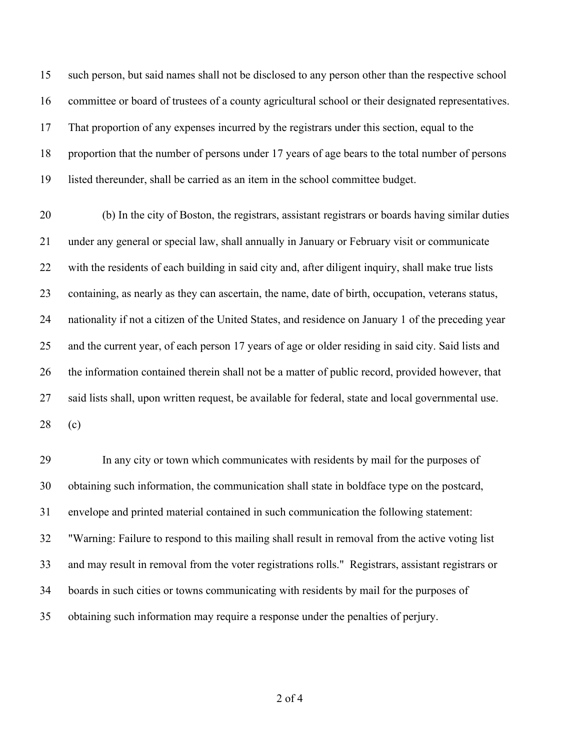such person, but said names shall not be disclosed to any person other than the respective school committee or board of trustees of a county agricultural school or their designated representatives. That proportion of any expenses incurred by the registrars under this section, equal to the proportion that the number of persons under 17 years of age bears to the total number of persons listed thereunder, shall be carried as an item in the school committee budget.

 (b) In the city of Boston, the registrars, assistant registrars or boards having similar duties under any general or special law, shall annually in January or February visit or communicate with the residents of each building in said city and, after diligent inquiry, shall make true lists containing, as nearly as they can ascertain, the name, date of birth, occupation, veterans status, nationality if not a citizen of the United States, and residence on January 1 of the preceding year and the current year, of each person 17 years of age or older residing in said city. Said lists and the information contained therein shall not be a matter of public record, provided however, that said lists shall, upon written request, be available for federal, state and local governmental use. (c)

 In any city or town which communicates with residents by mail for the purposes of obtaining such information, the communication shall state in boldface type on the postcard, envelope and printed material contained in such communication the following statement: "Warning: Failure to respond to this mailing shall result in removal from the active voting list and may result in removal from the voter registrations rolls." Registrars, assistant registrars or boards in such cities or towns communicating with residents by mail for the purposes of obtaining such information may require a response under the penalties of perjury.

of 4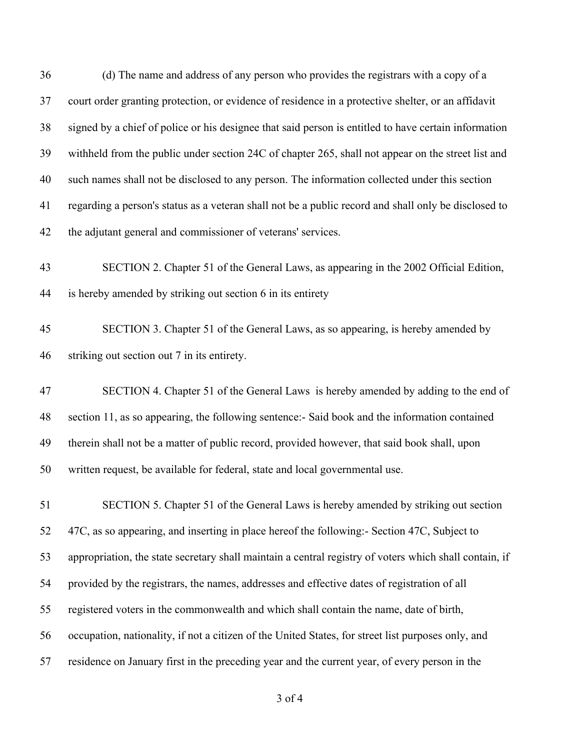(d) The name and address of any person who provides the registrars with a copy of a court order granting protection, or evidence of residence in a protective shelter, or an affidavit signed by a chief of police or his designee that said person is entitled to have certain information withheld from the public under section 24C of chapter 265, shall not appear on the street list and such names shall not be disclosed to any person. The information collected under this section regarding a person's status as a veteran shall not be a public record and shall only be disclosed to the adjutant general and commissioner of veterans' services. SECTION 2. Chapter 51 of the General Laws, as appearing in the 2002 Official Edition, is hereby amended by striking out section 6 in its entirety SECTION 3. Chapter 51 of the General Laws, as so appearing, is hereby amended by striking out section out 7 in its entirety. SECTION 4. Chapter 51 of the General Laws is hereby amended by adding to the end of section 11, as so appearing, the following sentence:- Said book and the information contained therein shall not be a matter of public record, provided however, that said book shall, upon written request, be available for federal, state and local governmental use. SECTION 5. Chapter 51 of the General Laws is hereby amended by striking out section 47C, as so appearing, and inserting in place hereof the following:- Section 47C, Subject to appropriation, the state secretary shall maintain a central registry of voters which shall contain, if provided by the registrars, the names, addresses and effective dates of registration of all registered voters in the commonwealth and which shall contain the name, date of birth, occupation, nationality, if not a citizen of the United States, for street list purposes only, and residence on January first in the preceding year and the current year, of every person in the

of 4